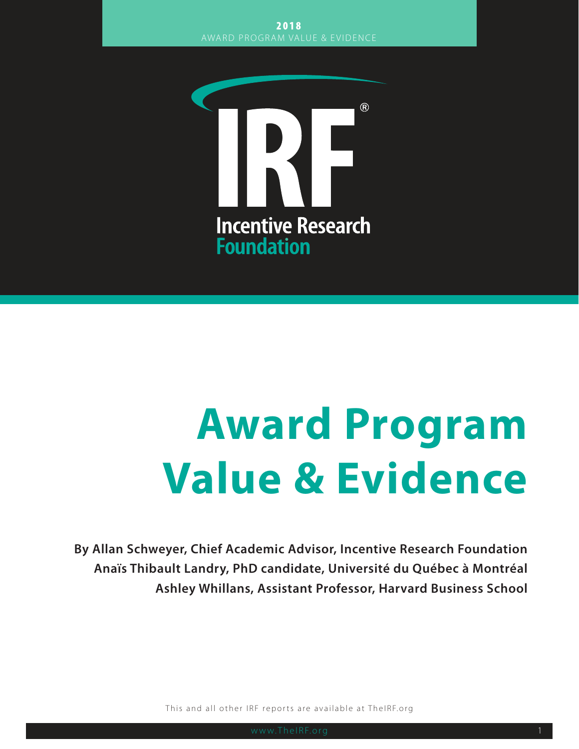

# **Award Program Value & Evidence**

**By Allan Schweyer, Chief Academic Advisor, Incentive Research Foundation Anaïs Thibault Landry, PhD candidate, Université du Québec à Montréal Ashley Whillans, Assistant Professor, Harvard Business School**

This and all other IRF reports are available at TheIRF.org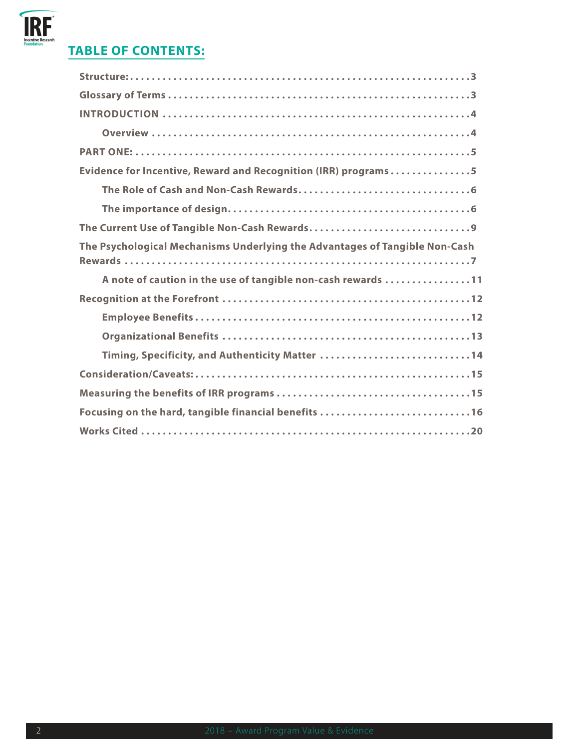# **IRF**<br>Incentive Research

### **TABLE OF CONTENTS:**

| Evidence for Incentive, Reward and Recognition (IRR) programs5              |
|-----------------------------------------------------------------------------|
|                                                                             |
|                                                                             |
|                                                                             |
| The Psychological Mechanisms Underlying the Advantages of Tangible Non-Cash |
|                                                                             |
| A note of caution in the use of tangible non-cash rewards 11                |
|                                                                             |
|                                                                             |
|                                                                             |
| Timing, Specificity, and Authenticity Matter 14                             |
|                                                                             |
|                                                                             |
| Focusing on the hard, tangible financial benefits 16                        |
|                                                                             |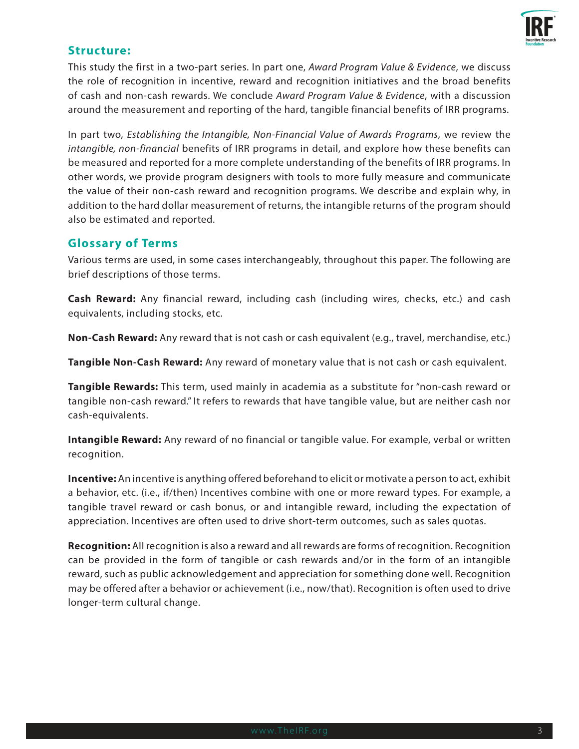

#### **Structure:**

This study the first in a two-part series. In part one, *Award Program Value & Evidence*, we discuss the role of recognition in incentive, reward and recognition initiatives and the broad benefits of cash and non-cash rewards. We conclude *Award Program Value & Evidence*, with a discussion around the measurement and reporting of the hard, tangible financial benefits of IRR programs.

In part two, *Establishing the Intangible, Non-Financial Value of Awards Programs*, we review the *intangible, non-financial* benefits of IRR programs in detail, and explore how these benefits can be measured and reported for a more complete understanding of the benefits of IRR programs. In other words, we provide program designers with tools to more fully measure and communicate the value of their non-cash reward and recognition programs. We describe and explain why, in addition to the hard dollar measurement of returns, the intangible returns of the program should also be estimated and reported.

#### **Glossary of Terms**

Various terms are used, in some cases interchangeably, throughout this paper. The following are brief descriptions of those terms.

**Cash Reward:** Any financial reward, including cash (including wires, checks, etc.) and cash equivalents, including stocks, etc.

**Non-Cash Reward:** Any reward that is not cash or cash equivalent (e.g., travel, merchandise, etc.)

**Tangible Non-Cash Reward:** Any reward of monetary value that is not cash or cash equivalent.

**Tangible Rewards:** This term, used mainly in academia as a substitute for "non-cash reward or tangible non-cash reward." It refers to rewards that have tangible value, but are neither cash nor cash-equivalents.

**Intangible Reward:** Any reward of no financial or tangible value. For example, verbal or written recognition.

**Incentive:** An incentive is anything offered beforehand to elicit or motivate a person to act, exhibit a behavior, etc. (i.e., if/then) Incentives combine with one or more reward types. For example, a tangible travel reward or cash bonus, or and intangible reward, including the expectation of appreciation. Incentives are often used to drive short-term outcomes, such as sales quotas.

**Recognition:** All recognition is also a reward and all rewards are forms of recognition. Recognition can be provided in the form of tangible or cash rewards and/or in the form of an intangible reward, such as public acknowledgement and appreciation for something done well. Recognition may be offered after a behavior or achievement (i.e., now/that). Recognition is often used to drive longer-term cultural change.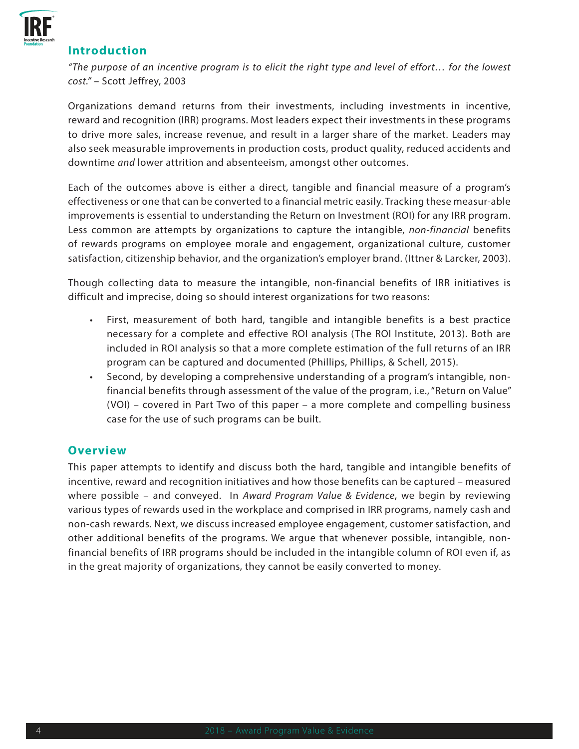

#### **Introduction**

*"The purpose of an incentive program is to elicit the right type and level of effort… for the lowest cost."* – Scott Jeffrey, 2003

Organizations demand returns from their investments, including investments in incentive, reward and recognition (IRR) programs. Most leaders expect their investments in these programs to drive more sales, increase revenue, and result in a larger share of the market. Leaders may also seek measurable improvements in production costs, product quality, reduced accidents and downtime *and* lower attrition and absenteeism, amongst other outcomes.

Each of the outcomes above is either a direct, tangible and financial measure of a program's effectiveness or one that can be converted to a financial metric easily. Tracking these measur-able improvements is essential to understanding the Return on Investment (ROI) for any IRR program. Less common are attempts by organizations to capture the intangible, *non-financial* benefits of rewards programs on employee morale and engagement, organizational culture, customer satisfaction, citizenship behavior, and the organization's employer brand. (Ittner & Larcker, 2003).

Though collecting data to measure the intangible, non-financial benefits of IRR initiatives is difficult and imprecise, doing so should interest organizations for two reasons:

- First, measurement of both hard, tangible and intangible benefits is a best practice necessary for a complete and effective ROI analysis (The ROI Institute, 2013). Both are included in ROI analysis so that a more complete estimation of the full returns of an IRR program can be captured and documented (Phillips, Phillips, & Schell, 2015).
- Second, by developing a comprehensive understanding of a program's intangible, nonfinancial benefits through assessment of the value of the program, i.e., "Return on Value" (VOI) – covered in Part Two of this paper – a more complete and compelling business case for the use of such programs can be built.

#### **Overview**

This paper attempts to identify and discuss both the hard, tangible and intangible benefits of incentive, reward and recognition initiatives and how those benefits can be captured – measured where possible – and conveyed. In *Award Program Value & Evidence*, we begin by reviewing various types of rewards used in the workplace and comprised in IRR programs, namely cash and non-cash rewards. Next, we discuss increased employee engagement, customer satisfaction, and other additional benefits of the programs. We argue that whenever possible, intangible, nonfinancial benefits of IRR programs should be included in the intangible column of ROI even if, as in the great majority of organizations, they cannot be easily converted to money.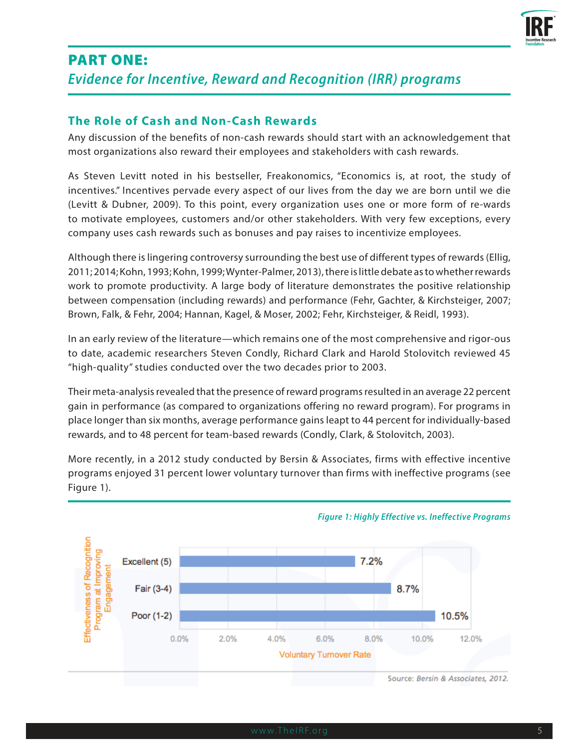

## PART ONE: *Evidence for Incentive, Reward and Recognition (IRR) programs*

#### **The Role of Cash and Non-Cash Rewards**

Any discussion of the benefits of non-cash rewards should start with an acknowledgement that most organizations also reward their employees and stakeholders with cash rewards.

As Steven Levitt noted in his bestseller, Freakonomics, "Economics is, at root, the study of incentives." Incentives pervade every aspect of our lives from the day we are born until we die (Levitt & Dubner, 2009). To this point, every organization uses one or more form of re-wards to motivate employees, customers and/or other stakeholders. With very few exceptions, every company uses cash rewards such as bonuses and pay raises to incentivize employees.

Although there is lingering controversy surrounding the best use of different types of rewards (Ellig, 2011; 2014; Kohn, 1993; Kohn, 1999; Wynter-Palmer, 2013), there is little debate as to whether rewards work to promote productivity. A large body of literature demonstrates the positive relationship between compensation (including rewards) and performance (Fehr, Gachter, & Kirchsteiger, 2007; Brown, Falk, & Fehr, 2004; Hannan, Kagel, & Moser, 2002; Fehr, Kirchsteiger, & Reidl, 1993).

In an early review of the literature—which remains one of the most comprehensive and rigor-ous to date, academic researchers Steven Condly, Richard Clark and Harold Stolovitch reviewed 45 "high-quality" studies conducted over the two decades prior to 2003.

Their meta-analysis revealed that the presence of reward programs resulted in an average 22 percent gain in performance (as compared to organizations offering no reward program). For programs in place longer than six months, average performance gains leapt to 44 percent for individually-based rewards, and to 48 percent for team-based rewards (Condly, Clark, & Stolovitch, 2003).

More recently, in a 2012 study conducted by Bersin & Associates, firms with effective incentive programs enjoyed 31 percent lower voluntary turnover than firms with ineffective programs (see Figure 1).



#### *Figure 1: Highly Effective vs. Ineffective Programs*

Source: Bersin & Associates, 2012.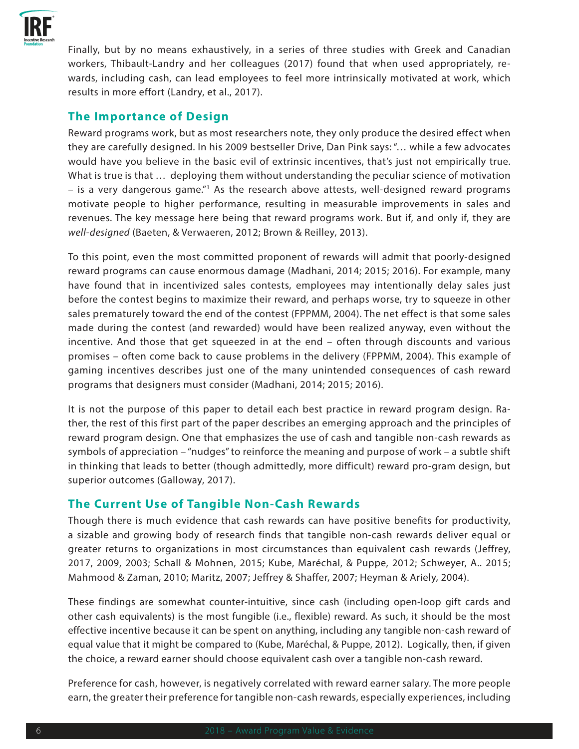

Finally, but by no means exhaustively, in a series of three studies with Greek and Canadian workers, Thibault-Landry and her colleagues (2017) found that when used appropriately, rewards, including cash, can lead employees to feel more intrinsically motivated at work, which results in more effort (Landry, et al., 2017).

#### **The Importance of Design**

Reward programs work, but as most researchers note, they only produce the desired effect when they are carefully designed. In his 2009 bestseller Drive, Dan Pink says: "… while a few advocates would have you believe in the basic evil of extrinsic incentives, that's just not empirically true. What is true is that … deploying them without understanding the peculiar science of motivation - is a very dangerous game."<sup>1</sup> As the research above attests, well-designed reward programs motivate people to higher performance, resulting in measurable improvements in sales and revenues. The key message here being that reward programs work. But if, and only if, they are *well-designed* (Baeten, & Verwaeren, 2012; Brown & Reilley, 2013).

To this point, even the most committed proponent of rewards will admit that poorly-designed reward programs can cause enormous damage (Madhani, 2014; 2015; 2016). For example, many have found that in incentivized sales contests, employees may intentionally delay sales just before the contest begins to maximize their reward, and perhaps worse, try to squeeze in other sales prematurely toward the end of the contest (FPPMM, 2004). The net effect is that some sales made during the contest (and rewarded) would have been realized anyway, even without the incentive. And those that get squeezed in at the end – often through discounts and various promises – often come back to cause problems in the delivery (FPPMM, 2004). This example of gaming incentives describes just one of the many unintended consequences of cash reward programs that designers must consider (Madhani, 2014; 2015; 2016).

It is not the purpose of this paper to detail each best practice in reward program design. Rather, the rest of this first part of the paper describes an emerging approach and the principles of reward program design. One that emphasizes the use of cash and tangible non-cash rewards as symbols of appreciation – "nudges" to reinforce the meaning and purpose of work – a subtle shift in thinking that leads to better (though admittedly, more difficult) reward pro-gram design, but superior outcomes (Galloway, 2017).

#### **The Current Use of Tangible Non-Cash Rewards**

Though there is much evidence that cash rewards can have positive benefits for productivity, a sizable and growing body of research finds that tangible non-cash rewards deliver equal or greater returns to organizations in most circumstances than equivalent cash rewards (Jeffrey, 2017, 2009, 2003; Schall & Mohnen, 2015; Kube, Maréchal, & Puppe, 2012; Schweyer, A.. 2015; Mahmood & Zaman, 2010; Maritz, 2007; Jeffrey & Shaffer, 2007; Heyman & Ariely, 2004).

These findings are somewhat counter-intuitive, since cash (including open-loop gift cards and other cash equivalents) is the most fungible (i.e., flexible) reward. As such, it should be the most effective incentive because it can be spent on anything, including any tangible non-cash reward of equal value that it might be compared to (Kube, Maréchal, & Puppe, 2012). Logically, then, if given the choice, a reward earner should choose equivalent cash over a tangible non-cash reward.

Preference for cash, however, is negatively correlated with reward earner salary. The more people earn, the greater their preference for tangible non-cash rewards, especially experiences, including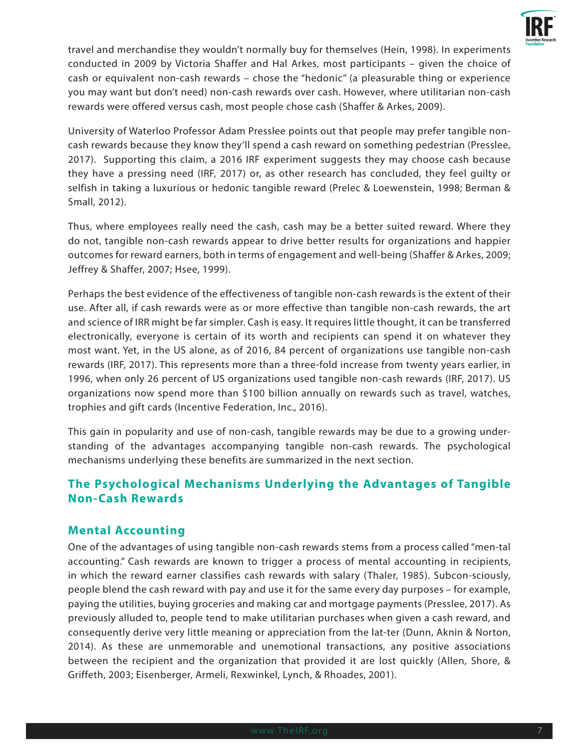

travel and merchandise they wouldn't normally buy for themselves (Hein, 1998). In experiments conducted in 2009 by Victoria Shaffer and Hal Arkes, most participants – given the choice of cash or equivalent non-cash rewards – chose the "hedonic" (a pleasurable thing or experience you may want but don't need) non-cash rewards over cash. However, where utilitarian non-cash rewards were offered versus cash, most people chose cash (Shaffer & Arkes, 2009).

University of Waterloo Professor Adam Presslee points out that people may prefer tangible noncash rewards because they know they'll spend a cash reward on something pedestrian (Presslee, 2017). Supporting this claim, a 2016 IRF experiment suggests they may choose cash because they have a pressing need (IRF, 2017) or, as other research has concluded, they feel guilty or selfish in taking a luxurious or hedonic tangible reward (Prelec & Loewenstein, 1998; Berman & Small, 2012).

Thus, where employees really need the cash, cash may be a better suited reward. Where they do not, tangible non-cash rewards appear to drive better results for organizations and happier outcomes for reward earners, both in terms of engagement and well-being (Shaffer & Arkes, 2009; Jeffrey & Shaffer, 2007; Hsee, 1999).

Perhaps the best evidence of the effectiveness of tangible non-cash rewards is the extent of their use. After all, if cash rewards were as or more effective than tangible non-cash rewards, the art and science of IRR might be far simpler. Cash is easy. It requires little thought, it can be transferred electronically, everyone is certain of its worth and recipients can spend it on whatever they most want. Yet, in the US alone, as of 2016, 84 percent of organizations use tangible non-cash rewards (IRF, 2017). This represents more than a three-fold increase from twenty years earlier, in 1996, when only 26 percent of US organizations used tangible non-cash rewards (IRF, 2017). US organizations now spend more than \$100 billion annually on rewards such as travel, watches, trophies and gift cards (Incentive Federation, Inc., 2016).

This gain in popularity and use of non-cash, tangible rewards may be due to a growing understanding of the advantages accompanying tangible non-cash rewards. The psychological mechanisms underlying these benefits are summarized in the next section.

### **The Psychological Mechanisms Underlying the Advantages of Tangible Non-Cash Rewards**

#### **Mental Accounting**

One of the advantages of using tangible non-cash rewards stems from a process called "men-tal accounting." Cash rewards are known to trigger a process of mental accounting in recipients, in which the reward earner classifies cash rewards with salary (Thaler, 1985). Subcon-sciously, people blend the cash reward with pay and use it for the same every day purposes – for example, paying the utilities, buying groceries and making car and mortgage payments (Presslee, 2017). As previously alluded to, people tend to make utilitarian purchases when given a cash reward, and consequently derive very little meaning or appreciation from the lat-ter (Dunn, Aknin & Norton, 2014). As these are unmemorable and unemotional transactions, any positive associations between the recipient and the organization that provided it are lost quickly (Allen, Shore, & Griffeth, 2003; Eisenberger, Armeli, Rexwinkel, Lynch, & Rhoades, 2001).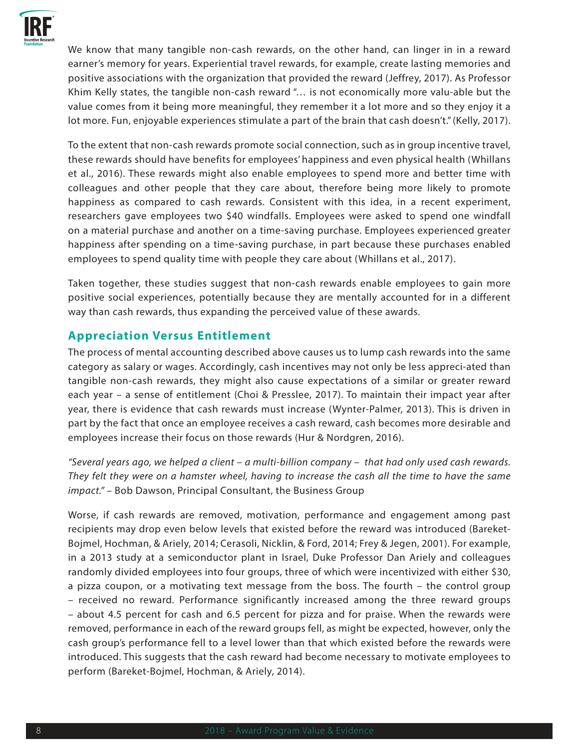

We know that many tangible non-cash rewards, on the other hand, can linger in in a reward earner's memory for years. Experiential travel rewards, for example, create lasting memories and positive associations with the organization that provided the reward (Jeffrey, 2017). As Professor Khim Kelly states, the tangible non-cash reward "… is not economically more valu-able but the value comes from it being more meaningful, they remember it a lot more and so they enjoy it a lot more. Fun, enjoyable experiences stimulate a part of the brain that cash doesn't." (Kelly, 2017).

To the extent that non-cash rewards promote social connection, such as in group incentive travel, these rewards should have benefits for employees' happiness and even physical health (Whillans et al., 2016). These rewards might also enable employees to spend more and better time with colleagues and other people that they care about, therefore being more likely to promote happiness as compared to cash rewards. Consistent with this idea, in a recent experiment, researchers gave employees two \$40 windfalls. Employees were asked to spend one windfall on a material purchase and another on a time-saving purchase. Employees experienced greater happiness after spending on a time-saving purchase, in part because these purchases enabled employees to spend quality time with people they care about (Whillans et al., 2017).

Taken together, these studies suggest that non-cash rewards enable employees to gain more positive social experiences, potentially because they are mentally accounted for in a different way than cash rewards, thus expanding the perceived value of these awards.

#### **Appreciation Versus Entitlement**

The process of mental accounting described above causes us to lump cash rewards into the same category as salary or wages. Accordingly, cash incentives may not only be less appreci-ated than tangible non-cash rewards, they might also cause expectations of a similar or greater reward each year – a sense of entitlement (Choi & Presslee, 2017). To maintain their impact year after year, there is evidence that cash rewards must increase (Wynter-Palmer, 2013). This is driven in part by the fact that once an employee receives a cash reward, cash becomes more desirable and employees increase their focus on those rewards (Hur & Nordgren, 2016).

*"Several years ago, we helped a client – a multi-billion company – that had only used cash rewards. They felt they were on a hamster wheel, having to increase the cash all the time to have the same impact."* – Bob Dawson, Principal Consultant, the Business Group

Worse, if cash rewards are removed, motivation, performance and engagement among past recipients may drop even below levels that existed before the reward was introduced (Bareket-Bojmel, Hochman, & Ariely, 2014; Cerasoli, Nicklin, & Ford, 2014; Frey & Jegen, 2001). For example, in a 2013 study at a semiconductor plant in Israel, Duke Professor Dan Ariely and colleagues randomly divided employees into four groups, three of which were incentivized with either \$30, a pizza coupon, or a motivating text message from the boss. The fourth – the control group – received no reward. Performance significantly increased among the three reward groups – about 4.5 percent for cash and 6.5 percent for pizza and for praise. When the rewards were removed, performance in each of the reward groups fell, as might be expected, however, only the cash group's performance fell to a level lower than that which existed before the rewards were introduced. This suggests that the cash reward had become necessary to motivate employees to perform (Bareket-Bojmel, Hochman, & Ariely, 2014).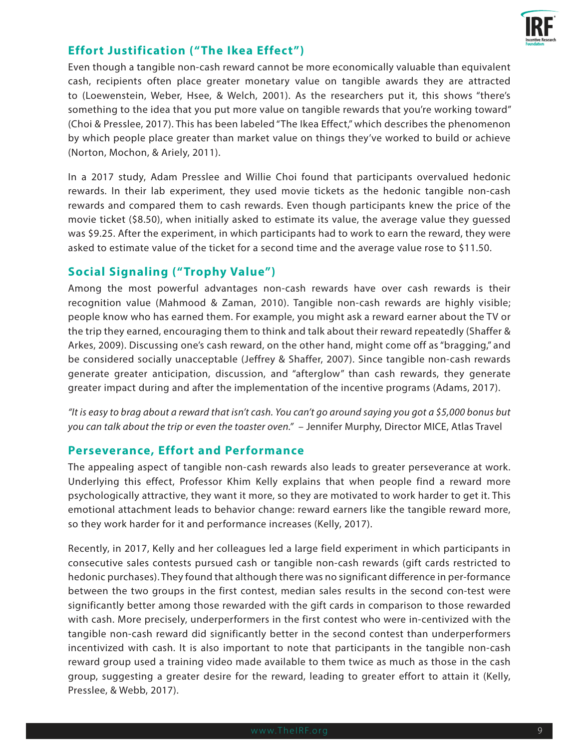

#### **Effort Justification ("The Ikea Effect")**

Even though a tangible non-cash reward cannot be more economically valuable than equivalent cash, recipients often place greater monetary value on tangible awards they are attracted to (Loewenstein, Weber, Hsee, & Welch, 2001). As the researchers put it, this shows "there's something to the idea that you put more value on tangible rewards that you're working toward" (Choi & Presslee, 2017). This has been labeled "The Ikea Effect," which describes the phenomenon by which people place greater than market value on things they've worked to build or achieve (Norton, Mochon, & Ariely, 2011).

In a 2017 study, Adam Presslee and Willie Choi found that participants overvalued hedonic rewards. In their lab experiment, they used movie tickets as the hedonic tangible non-cash rewards and compared them to cash rewards. Even though participants knew the price of the movie ticket (\$8.50), when initially asked to estimate its value, the average value they guessed was \$9.25. After the experiment, in which participants had to work to earn the reward, they were asked to estimate value of the ticket for a second time and the average value rose to \$11.50.

#### **Social Signaling ("Trophy Value")**

Among the most powerful advantages non-cash rewards have over cash rewards is their recognition value (Mahmood & Zaman, 2010). Tangible non-cash rewards are highly visible; people know who has earned them. For example, you might ask a reward earner about the TV or the trip they earned, encouraging them to think and talk about their reward repeatedly (Shaffer & Arkes, 2009). Discussing one's cash reward, on the other hand, might come off as "bragging," and be considered socially unacceptable (Jeffrey & Shaffer, 2007). Since tangible non-cash rewards generate greater anticipation, discussion, and "afterglow" than cash rewards, they generate greater impact during and after the implementation of the incentive programs (Adams, 2017).

*"It is easy to brag about a reward that isn't cash. You can't go around saying you got a \$5,000 bonus but you can talk about the trip or even the toaster oven."* – Jennifer Murphy, Director MICE, Atlas Travel

#### **Perseverance, Effort and Performance**

The appealing aspect of tangible non-cash rewards also leads to greater perseverance at work. Underlying this effect, Professor Khim Kelly explains that when people find a reward more psychologically attractive, they want it more, so they are motivated to work harder to get it. This emotional attachment leads to behavior change: reward earners like the tangible reward more, so they work harder for it and performance increases (Kelly, 2017).

Recently, in 2017, Kelly and her colleagues led a large field experiment in which participants in consecutive sales contests pursued cash or tangible non-cash rewards (gift cards restricted to hedonic purchases). They found that although there was no significant difference in per-formance between the two groups in the first contest, median sales results in the second con-test were significantly better among those rewarded with the gift cards in comparison to those rewarded with cash. More precisely, underperformers in the first contest who were in-centivized with the tangible non-cash reward did significantly better in the second contest than underperformers incentivized with cash. It is also important to note that participants in the tangible non-cash reward group used a training video made available to them twice as much as those in the cash group, suggesting a greater desire for the reward, leading to greater effort to attain it (Kelly, Presslee, & Webb, 2017).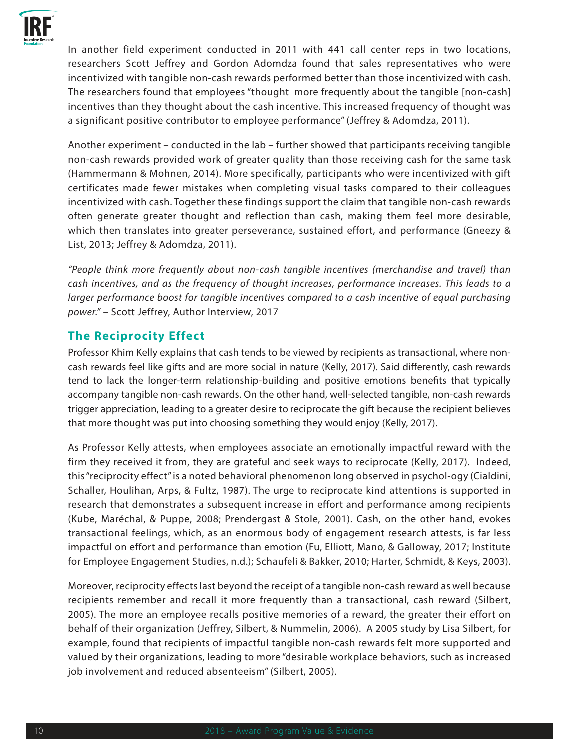

In another field experiment conducted in 2011 with 441 call center reps in two locations, researchers Scott Jeffrey and Gordon Adomdza found that sales representatives who were incentivized with tangible non-cash rewards performed better than those incentivized with cash. The researchers found that employees "thought more frequently about the tangible [non-cash] incentives than they thought about the cash incentive. This increased frequency of thought was a significant positive contributor to employee performance" (Jeffrey & Adomdza, 2011).

Another experiment – conducted in the lab – further showed that participants receiving tangible non-cash rewards provided work of greater quality than those receiving cash for the same task (Hammermann & Mohnen, 2014). More specifically, participants who were incentivized with gift certificates made fewer mistakes when completing visual tasks compared to their colleagues incentivized with cash. Together these findings support the claim that tangible non-cash rewards often generate greater thought and reflection than cash, making them feel more desirable, which then translates into greater perseverance, sustained effort, and performance (Gneezy & List, 2013; Jeffrey & Adomdza, 2011).

*"People think more frequently about non-cash tangible incentives (merchandise and travel) than cash incentives, and as the frequency of thought increases, performance increases. This leads to a larger performance boost for tangible incentives compared to a cash incentive of equal purchasing power."* – Scott Jeffrey, Author Interview, 2017

#### **The Reciprocity Effect**

Professor Khim Kelly explains that cash tends to be viewed by recipients as transactional, where noncash rewards feel like gifts and are more social in nature (Kelly, 2017). Said differently, cash rewards tend to lack the longer-term relationship-building and positive emotions benefits that typically accompany tangible non-cash rewards. On the other hand, well-selected tangible, non-cash rewards trigger appreciation, leading to a greater desire to reciprocate the gift because the recipient believes that more thought was put into choosing something they would enjoy (Kelly, 2017).

As Professor Kelly attests, when employees associate an emotionally impactful reward with the firm they received it from, they are grateful and seek ways to reciprocate (Kelly, 2017). Indeed, this "reciprocity effect" is a noted behavioral phenomenon long observed in psychol-ogy (Cialdini, Schaller, Houlihan, Arps, & Fultz, 1987). The urge to reciprocate kind attentions is supported in research that demonstrates a subsequent increase in effort and performance among recipients (Kube, Maréchal, & Puppe, 2008; Prendergast & Stole, 2001). Cash, on the other hand, evokes transactional feelings, which, as an enormous body of engagement research attests, is far less impactful on effort and performance than emotion (Fu, Elliott, Mano, & Galloway, 2017; Institute for Employee Engagement Studies, n.d.); Schaufeli & Bakker, 2010; Harter, Schmidt, & Keys, 2003).

Moreover, reciprocity effects last beyond the receipt of a tangible non-cash reward as well because recipients remember and recall it more frequently than a transactional, cash reward (Silbert, 2005). The more an employee recalls positive memories of a reward, the greater their effort on behalf of their organization (Jeffrey, Silbert, & Nummelin, 2006). A 2005 study by Lisa Silbert, for example, found that recipients of impactful tangible non-cash rewards felt more supported and valued by their organizations, leading to more "desirable workplace behaviors, such as increased job involvement and reduced absenteeism" (Silbert, 2005).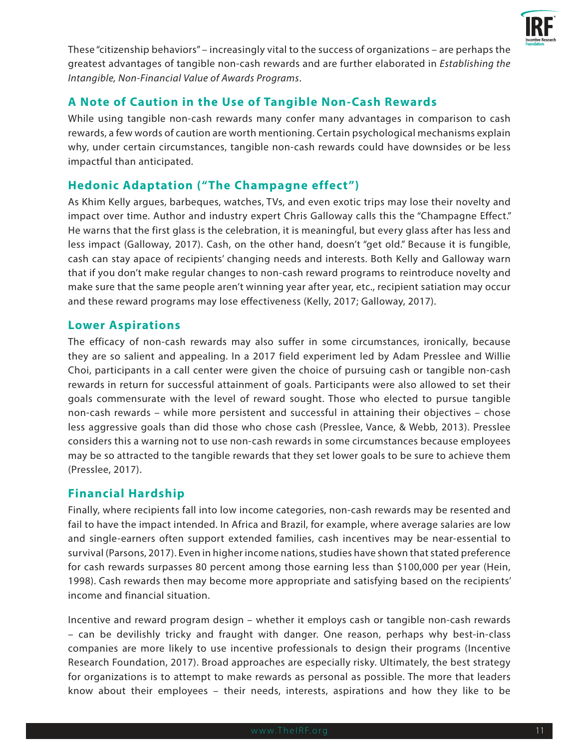

These "citizenship behaviors" – increasingly vital to the success of organizations – are perhaps the greatest advantages of tangible non-cash rewards and are further elaborated in *Establishing the Intangible, Non-Financial Value of Awards Programs*.

#### **A Note of Caution in the Use of Tangible Non-Cash Rewards**

While using tangible non-cash rewards many confer many advantages in comparison to cash rewards, a few words of caution are worth mentioning. Certain psychological mechanisms explain why, under certain circumstances, tangible non-cash rewards could have downsides or be less impactful than anticipated.

#### **Hedonic Adaptation ("The Champagne effect")**

As Khim Kelly argues, barbeques, watches, TVs, and even exotic trips may lose their novelty and impact over time. Author and industry expert Chris Galloway calls this the "Champagne Effect." He warns that the first glass is the celebration, it is meaningful, but every glass after has less and less impact (Galloway, 2017). Cash, on the other hand, doesn't "get old." Because it is fungible, cash can stay apace of recipients' changing needs and interests. Both Kelly and Galloway warn that if you don't make regular changes to non-cash reward programs to reintroduce novelty and make sure that the same people aren't winning year after year, etc., recipient satiation may occur and these reward programs may lose effectiveness (Kelly, 2017; Galloway, 2017).

#### **Lower Aspirations**

The efficacy of non-cash rewards may also suffer in some circumstances, ironically, because they are so salient and appealing. In a 2017 field experiment led by Adam Presslee and Willie Choi, participants in a call center were given the choice of pursuing cash or tangible non-cash rewards in return for successful attainment of goals. Participants were also allowed to set their goals commensurate with the level of reward sought. Those who elected to pursue tangible non-cash rewards – while more persistent and successful in attaining their objectives – chose less aggressive goals than did those who chose cash (Presslee, Vance, & Webb, 2013). Presslee considers this a warning not to use non-cash rewards in some circumstances because employees may be so attracted to the tangible rewards that they set lower goals to be sure to achieve them (Presslee, 2017).

#### **Financial Hardship**

Finally, where recipients fall into low income categories, non-cash rewards may be resented and fail to have the impact intended. In Africa and Brazil, for example, where average salaries are low and single-earners often support extended families, cash incentives may be near-essential to survival (Parsons, 2017). Even in higher income nations, studies have shown that stated preference for cash rewards surpasses 80 percent among those earning less than \$100,000 per year (Hein, 1998). Cash rewards then may become more appropriate and satisfying based on the recipients' income and financial situation.

Incentive and reward program design – whether it employs cash or tangible non-cash rewards – can be devilishly tricky and fraught with danger. One reason, perhaps why best-in-class companies are more likely to use incentive professionals to design their programs (Incentive Research Foundation, 2017). Broad approaches are especially risky. Ultimately, the best strategy for organizations is to attempt to make rewards as personal as possible. The more that leaders know about their employees – their needs, interests, aspirations and how they like to be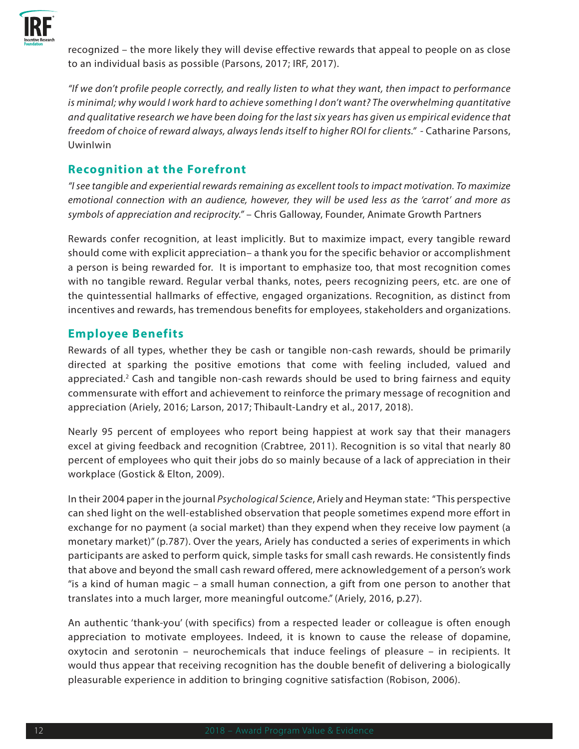

recognized – the more likely they will devise effective rewards that appeal to people on as close to an individual basis as possible (Parsons, 2017; IRF, 2017).

*"If we don't profile people correctly, and really listen to what they want, then impact to performance is minimal; why would I work hard to achieve something I don't want? The overwhelming quantitative and qualitative research we have been doing for the last six years has given us empirical evidence that freedom of choice of reward always, always lends itself to higher ROI for clients."* - Catharine Parsons, UwinIwin

#### **Recognition at the Forefront**

*"I see tangible and experiential rewards remaining as excellent tools to impact motivation. To maximize emotional connection with an audience, however, they will be used less as the 'carrot' and more as symbols of appreciation and reciprocity."* – Chris Galloway, Founder, Animate Growth Partners

Rewards confer recognition, at least implicitly. But to maximize impact, every tangible reward should come with explicit appreciation– a thank you for the specific behavior or accomplishment a person is being rewarded for. It is important to emphasize too, that most recognition comes with no tangible reward. Regular verbal thanks, notes, peers recognizing peers, etc. are one of the quintessential hallmarks of effective, engaged organizations. Recognition, as distinct from incentives and rewards, has tremendous benefits for employees, stakeholders and organizations.

#### **Employee Benefits**

Rewards of all types, whether they be cash or tangible non-cash rewards, should be primarily directed at sparking the positive emotions that come with feeling included, valued and appreciated.<sup>2</sup> Cash and tangible non-cash rewards should be used to bring fairness and equity commensurate with effort and achievement to reinforce the primary message of recognition and appreciation (Ariely, 2016; Larson, 2017; Thibault-Landry et al., 2017, 2018).

Nearly 95 percent of employees who report being happiest at work say that their managers excel at giving feedback and recognition (Crabtree, 2011). Recognition is so vital that nearly 80 percent of employees who quit their jobs do so mainly because of a lack of appreciation in their workplace (Gostick & Elton, 2009).

In their 2004 paper in the journal *Psychological Science*, Ariely and Heyman state: "This perspective can shed light on the well-established observation that people sometimes expend more effort in exchange for no payment (a social market) than they expend when they receive low payment (a monetary market)" (p.787). Over the years, Ariely has conducted a series of experiments in which participants are asked to perform quick, simple tasks for small cash rewards. He consistently finds that above and beyond the small cash reward offered, mere acknowledgement of a person's work "is a kind of human magic – a small human connection, a gift from one person to another that translates into a much larger, more meaningful outcome." (Ariely, 2016, p.27).

An authentic 'thank-you' (with specifics) from a respected leader or colleague is often enough appreciation to motivate employees. Indeed, it is known to cause the release of dopamine, oxytocin and serotonin – neurochemicals that induce feelings of pleasure – in recipients. It would thus appear that receiving recognition has the double benefit of delivering a biologically pleasurable experience in addition to bringing cognitive satisfaction (Robison, 2006).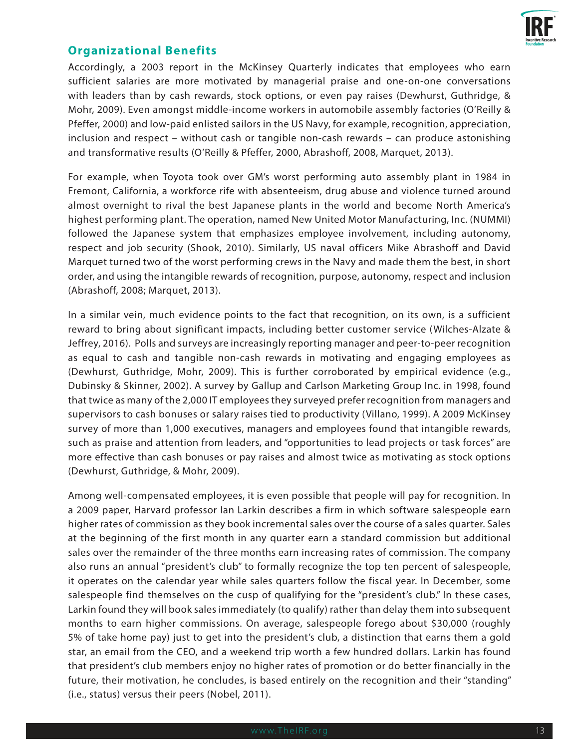

#### **Organizational Benefits**

Accordingly, a 2003 report in the McKinsey Quarterly indicates that employees who earn sufficient salaries are more motivated by managerial praise and one-on-one conversations with leaders than by cash rewards, stock options, or even pay raises (Dewhurst, Guthridge, & Mohr, 2009). Even amongst middle-income workers in automobile assembly factories (O'Reilly & Pfeffer, 2000) and low-paid enlisted sailors in the US Navy, for example, recognition, appreciation, inclusion and respect – without cash or tangible non-cash rewards – can produce astonishing and transformative results (O'Reilly & Pfeffer, 2000, Abrashoff, 2008, Marquet, 2013).

For example, when Toyota took over GM's worst performing auto assembly plant in 1984 in Fremont, California, a workforce rife with absenteeism, drug abuse and violence turned around almost overnight to rival the best Japanese plants in the world and become North America's highest performing plant. The operation, named New United Motor Manufacturing, Inc. (NUMMI) followed the Japanese system that emphasizes employee involvement, including autonomy, respect and job security (Shook, 2010). Similarly, US naval officers Mike Abrashoff and David Marquet turned two of the worst performing crews in the Navy and made them the best, in short order, and using the intangible rewards of recognition, purpose, autonomy, respect and inclusion (Abrashoff, 2008; Marquet, 2013).

In a similar vein, much evidence points to the fact that recognition, on its own, is a sufficient reward to bring about significant impacts, including better customer service (Wilches-Alzate & Jeffrey, 2016). Polls and surveys are increasingly reporting manager and peer-to-peer recognition as equal to cash and tangible non-cash rewards in motivating and engaging employees as (Dewhurst, Guthridge, Mohr, 2009). This is further corroborated by empirical evidence (e.g., Dubinsky & Skinner, 2002). A survey by Gallup and Carlson Marketing Group Inc. in 1998, found that twice as many of the 2,000 IT employees they surveyed prefer recognition from managers and supervisors to cash bonuses or salary raises tied to productivity (Villano, 1999). A 2009 McKinsey survey of more than 1,000 executives, managers and employees found that intangible rewards, such as praise and attention from leaders, and "opportunities to lead projects or task forces" are more effective than cash bonuses or pay raises and almost twice as motivating as stock options (Dewhurst, Guthridge, & Mohr, 2009).

Among well-compensated employees, it is even possible that people will pay for recognition. In a 2009 paper, Harvard professor Ian Larkin describes a firm in which software salespeople earn higher rates of commission as they book incremental sales over the course of a sales quarter. Sales at the beginning of the first month in any quarter earn a standard commission but additional sales over the remainder of the three months earn increasing rates of commission. The company also runs an annual "president's club" to formally recognize the top ten percent of salespeople, it operates on the calendar year while sales quarters follow the fiscal year. In December, some salespeople find themselves on the cusp of qualifying for the "president's club." In these cases, Larkin found they will book sales immediately (to qualify) rather than delay them into subsequent months to earn higher commissions. On average, salespeople forego about \$30,000 (roughly 5% of take home pay) just to get into the president's club, a distinction that earns them a gold star, an email from the CEO, and a weekend trip worth a few hundred dollars. Larkin has found that president's club members enjoy no higher rates of promotion or do better financially in the future, their motivation, he concludes, is based entirely on the recognition and their "standing" (i.e., status) versus their peers (Nobel, 2011).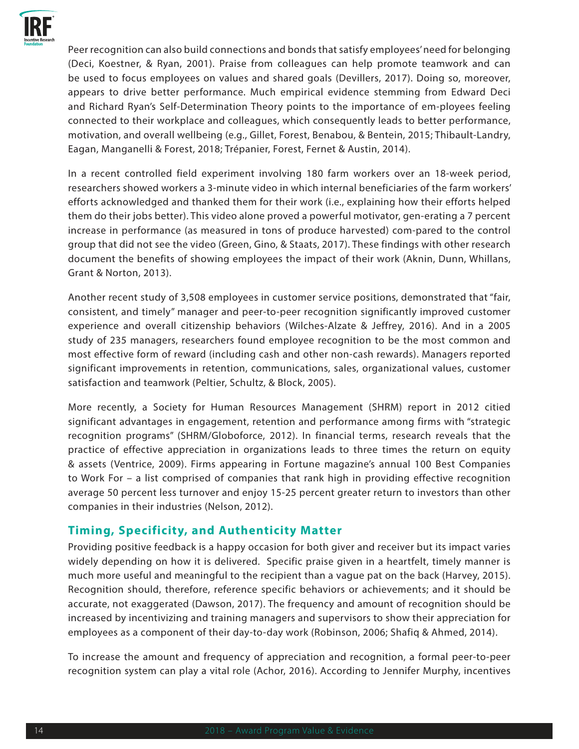

Peer recognition can also build connections and bonds that satisfy employees' need for belonging (Deci, Koestner, & Ryan, 2001). Praise from colleagues can help promote teamwork and can be used to focus employees on values and shared goals (Devillers, 2017). Doing so, moreover, appears to drive better performance. Much empirical evidence stemming from Edward Deci and Richard Ryan's Self-Determination Theory points to the importance of em-ployees feeling connected to their workplace and colleagues, which consequently leads to better performance, motivation, and overall wellbeing (e.g., Gillet, Forest, Benabou, & Bentein, 2015; Thibault-Landry, Eagan, Manganelli & Forest, 2018; Trépanier, Forest, Fernet & Austin, 2014).

In a recent controlled field experiment involving 180 farm workers over an 18-week period, researchers showed workers a 3-minute video in which internal beneficiaries of the farm workers' efforts acknowledged and thanked them for their work (i.e., explaining how their efforts helped them do their jobs better). This video alone proved a powerful motivator, gen-erating a 7 percent increase in performance (as measured in tons of produce harvested) com-pared to the control group that did not see the video (Green, Gino, & Staats, 2017). These findings with other research document the benefits of showing employees the impact of their work (Aknin, Dunn, Whillans, Grant & Norton, 2013).

Another recent study of 3,508 employees in customer service positions, demonstrated that "fair, consistent, and timely" manager and peer-to-peer recognition significantly improved customer experience and overall citizenship behaviors (Wilches-Alzate & Jeffrey, 2016). And in a 2005 study of 235 managers, researchers found employee recognition to be the most common and most effective form of reward (including cash and other non-cash rewards). Managers reported significant improvements in retention, communications, sales, organizational values, customer satisfaction and teamwork (Peltier, Schultz, & Block, 2005).

More recently, a Society for Human Resources Management (SHRM) report in 2012 citied significant advantages in engagement, retention and performance among firms with "strategic recognition programs" (SHRM/Globoforce, 2012). In financial terms, research reveals that the practice of effective appreciation in organizations leads to three times the return on equity & assets (Ventrice, 2009). Firms appearing in Fortune magazine's annual 100 Best Companies to Work For – a list comprised of companies that rank high in providing effective recognition average 50 percent less turnover and enjoy 15-25 percent greater return to investors than other companies in their industries (Nelson, 2012).

#### **Timing, Specificity, and Authenticity Matter**

Providing positive feedback is a happy occasion for both giver and receiver but its impact varies widely depending on how it is delivered. Specific praise given in a heartfelt, timely manner is much more useful and meaningful to the recipient than a vague pat on the back (Harvey, 2015). Recognition should, therefore, reference specific behaviors or achievements; and it should be accurate, not exaggerated (Dawson, 2017). The frequency and amount of recognition should be increased by incentivizing and training managers and supervisors to show their appreciation for employees as a component of their day-to-day work (Robinson, 2006; Shafiq & Ahmed, 2014).

To increase the amount and frequency of appreciation and recognition, a formal peer-to-peer recognition system can play a vital role (Achor, 2016). According to Jennifer Murphy, incentives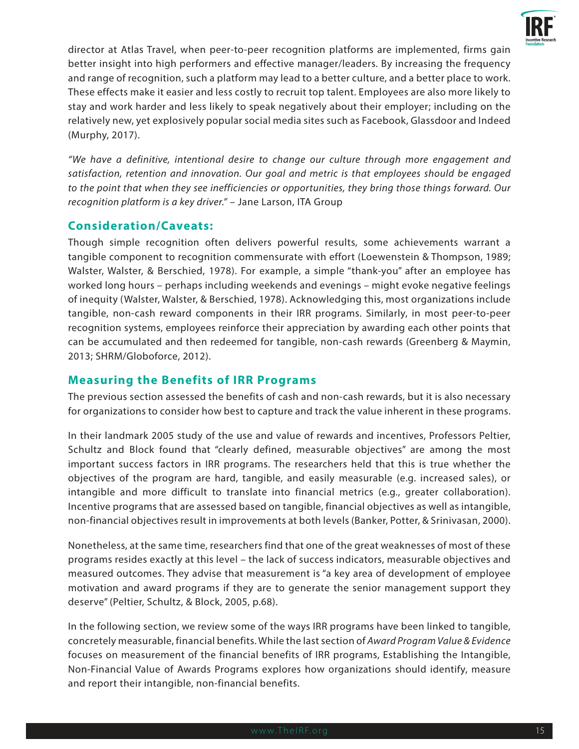

director at Atlas Travel, when peer-to-peer recognition platforms are implemented, firms gain better insight into high performers and effective manager/leaders. By increasing the frequency and range of recognition, such a platform may lead to a better culture, and a better place to work. These effects make it easier and less costly to recruit top talent. Employees are also more likely to stay and work harder and less likely to speak negatively about their employer; including on the relatively new, yet explosively popular social media sites such as Facebook, Glassdoor and Indeed (Murphy, 2017).

*"We have a definitive, intentional desire to change our culture through more engagement and satisfaction, retention and innovation. Our goal and metric is that employees should be engaged to the point that when they see inefficiencies or opportunities, they bring those things forward. Our recognition platform is a key driver."* – Jane Larson, ITA Group

#### **Consideration/Caveats:**

Though simple recognition often delivers powerful results, some achievements warrant a tangible component to recognition commensurate with effort (Loewenstein & Thompson, 1989; Walster, Walster, & Berschied, 1978). For example, a simple "thank-you" after an employee has worked long hours – perhaps including weekends and evenings – might evoke negative feelings of inequity (Walster, Walster, & Berschied, 1978). Acknowledging this, most organizations include tangible, non-cash reward components in their IRR programs. Similarly, in most peer-to-peer recognition systems, employees reinforce their appreciation by awarding each other points that can be accumulated and then redeemed for tangible, non-cash rewards (Greenberg & Maymin, 2013; SHRM/Globoforce, 2012).

#### **Measuring the Benefits of IRR Programs**

The previous section assessed the benefits of cash and non-cash rewards, but it is also necessary for organizations to consider how best to capture and track the value inherent in these programs.

In their landmark 2005 study of the use and value of rewards and incentives, Professors Peltier, Schultz and Block found that "clearly defined, measurable objectives" are among the most important success factors in IRR programs. The researchers held that this is true whether the objectives of the program are hard, tangible, and easily measurable (e.g. increased sales), or intangible and more difficult to translate into financial metrics (e.g., greater collaboration). Incentive programs that are assessed based on tangible, financial objectives as well as intangible, non-financial objectives result in improvements at both levels (Banker, Potter, & Srinivasan, 2000).

Nonetheless, at the same time, researchers find that one of the great weaknesses of most of these programs resides exactly at this level – the lack of success indicators, measurable objectives and measured outcomes. They advise that measurement is "a key area of development of employee motivation and award programs if they are to generate the senior management support they deserve" (Peltier, Schultz, & Block, 2005, p.68).

In the following section, we review some of the ways IRR programs have been linked to tangible, concretely measurable, financial benefits. While the last section of *Award Program Value & Evidence* focuses on measurement of the financial benefits of IRR programs, Establishing the Intangible, Non-Financial Value of Awards Programs explores how organizations should identify, measure and report their intangible, non-financial benefits.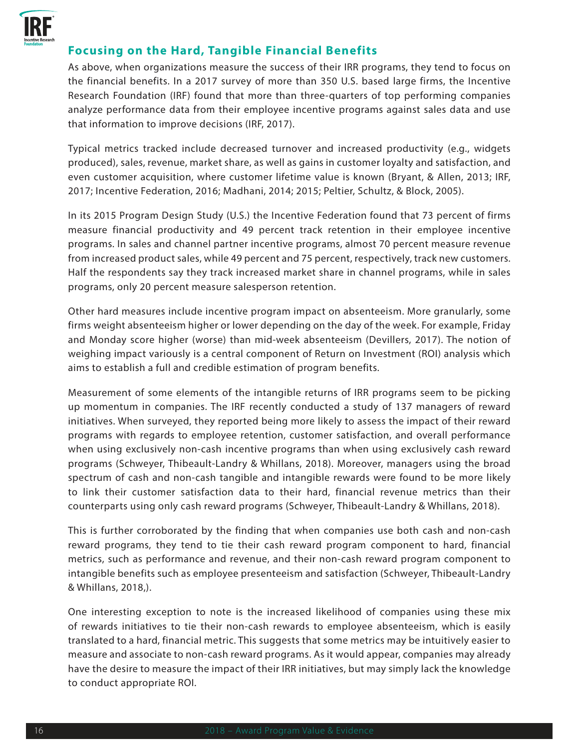

#### **Focusing on the Hard, Tangible Financial Benefits**

As above, when organizations measure the success of their IRR programs, they tend to focus on the financial benefits. In a 2017 survey of more than 350 U.S. based large firms, the Incentive Research Foundation (IRF) found that more than three-quarters of top performing companies analyze performance data from their employee incentive programs against sales data and use that information to improve decisions (IRF, 2017).

Typical metrics tracked include decreased turnover and increased productivity (e.g., widgets produced), sales, revenue, market share, as well as gains in customer loyalty and satisfaction, and even customer acquisition, where customer lifetime value is known (Bryant, & Allen, 2013; IRF, 2017; Incentive Federation, 2016; Madhani, 2014; 2015; Peltier, Schultz, & Block, 2005).

In its 2015 Program Design Study (U.S.) the Incentive Federation found that 73 percent of firms measure financial productivity and 49 percent track retention in their employee incentive programs. In sales and channel partner incentive programs, almost 70 percent measure revenue from increased product sales, while 49 percent and 75 percent, respectively, track new customers. Half the respondents say they track increased market share in channel programs, while in sales programs, only 20 percent measure salesperson retention.

Other hard measures include incentive program impact on absenteeism. More granularly, some firms weight absenteeism higher or lower depending on the day of the week. For example, Friday and Monday score higher (worse) than mid-week absenteeism (Devillers, 2017). The notion of weighing impact variously is a central component of Return on Investment (ROI) analysis which aims to establish a full and credible estimation of program benefits.

Measurement of some elements of the intangible returns of IRR programs seem to be picking up momentum in companies. The IRF recently conducted a study of 137 managers of reward initiatives. When surveyed, they reported being more likely to assess the impact of their reward programs with regards to employee retention, customer satisfaction, and overall performance when using exclusively non-cash incentive programs than when using exclusively cash reward programs (Schweyer, Thibeault-Landry & Whillans, 2018). Moreover, managers using the broad spectrum of cash and non-cash tangible and intangible rewards were found to be more likely to link their customer satisfaction data to their hard, financial revenue metrics than their counterparts using only cash reward programs (Schweyer, Thibeault-Landry & Whillans, 2018).

This is further corroborated by the finding that when companies use both cash and non-cash reward programs, they tend to tie their cash reward program component to hard, financial metrics, such as performance and revenue, and their non-cash reward program component to intangible benefits such as employee presenteeism and satisfaction (Schweyer, Thibeault-Landry & Whillans, 2018,).

One interesting exception to note is the increased likelihood of companies using these mix of rewards initiatives to tie their non-cash rewards to employee absenteeism, which is easily translated to a hard, financial metric. This suggests that some metrics may be intuitively easier to measure and associate to non-cash reward programs. As it would appear, companies may already have the desire to measure the impact of their IRR initiatives, but may simply lack the knowledge to conduct appropriate ROI.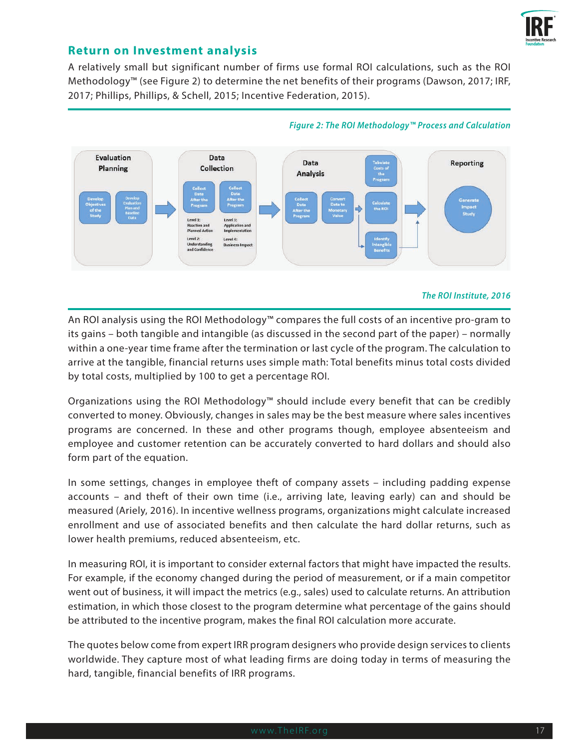

#### **Return on Investment analysis**

A relatively small but significant number of firms use formal ROI calculations, such as the ROI Methodology™ (see Figure 2) to determine the net benefits of their programs (Dawson, 2017; IRF, 2017; Phillips, Phillips, & Schell, 2015; Incentive Federation, 2015).



#### *Figure 2: The ROI Methodology™ Process and Calculation*

#### *The ROI Institute, 2016*

An ROI analysis using the ROI Methodology™ compares the full costs of an incentive pro-gram to its gains – both tangible and intangible (as discussed in the second part of the paper) – normally within a one-year time frame after the termination or last cycle of the program. The calculation to arrive at the tangible, financial returns uses simple math: Total benefits minus total costs divided by total costs, multiplied by 100 to get a percentage ROI.

Organizations using the ROI Methodology™ should include every benefit that can be credibly converted to money. Obviously, changes in sales may be the best measure where sales incentives programs are concerned. In these and other programs though, employee absenteeism and employee and customer retention can be accurately converted to hard dollars and should also form part of the equation.

In some settings, changes in employee theft of company assets – including padding expense accounts – and theft of their own time (i.e., arriving late, leaving early) can and should be measured (Ariely, 2016). In incentive wellness programs, organizations might calculate increased enrollment and use of associated benefits and then calculate the hard dollar returns, such as lower health premiums, reduced absenteeism, etc.

In measuring ROI, it is important to consider external factors that might have impacted the results. For example, if the economy changed during the period of measurement, or if a main competitor went out of business, it will impact the metrics (e.g., sales) used to calculate returns. An attribution estimation, in which those closest to the program determine what percentage of the gains should be attributed to the incentive program, makes the final ROI calculation more accurate.

The quotes below come from expert IRR program designers who provide design services to clients worldwide. They capture most of what leading firms are doing today in terms of measuring the hard, tangible, financial benefits of IRR programs.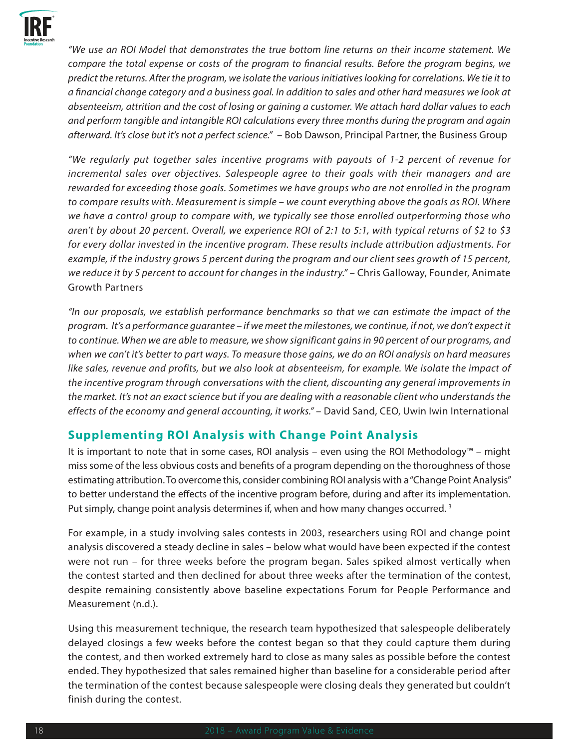

*"We use an ROI Model that demonstrates the true bottom line returns on their income statement. We compare the total expense or costs of the program to financial results. Before the program begins, we predict the returns. After the program, we isolate the various initiatives looking for correlations. We tie it to a financial change category and a business goal. In addition to sales and other hard measures we look at absenteeism, attrition and the cost of losing or gaining a customer. We attach hard dollar values to each and perform tangible and intangible ROI calculations every three months during the program and again afterward. It's close but it's not a perfect science."* – Bob Dawson, Principal Partner, the Business Group

*"We regularly put together sales incentive programs with payouts of 1-2 percent of revenue for incremental sales over objectives. Salespeople agree to their goals with their managers and are rewarded for exceeding those goals. Sometimes we have groups who are not enrolled in the program to compare results with. Measurement is simple – we count everything above the goals as ROI. Where we have a control group to compare with, we typically see those enrolled outperforming those who aren't by about 20 percent. Overall, we experience ROI of 2:1 to 5:1, with typical returns of \$2 to \$3 for every dollar invested in the incentive program. These results include attribution adjustments. For example, if the industry grows 5 percent during the program and our client sees growth of 15 percent, we reduce it by 5 percent to account for changes in the industry."* – Chris Galloway, Founder, Animate Growth Partners

*"In our proposals, we establish performance benchmarks so that we can estimate the impact of the program. It's a performance guarantee – if we meet the milestones, we continue, if not, we don't expect it to continue. When we are able to measure, we show significant gains in 90 percent of our programs, and when we can't it's better to part ways. To measure those gains, we do an ROI analysis on hard measures*  like sales, revenue and profits, but we also look at absenteeism, for example. We isolate the impact of *the incentive program through conversations with the client, discounting any general improvements in the market. It's not an exact science but if you are dealing with a reasonable client who understands the*  effects of the economy and general accounting, it works." - David Sand, CEO, Uwin Iwin International

#### **Supplementing ROI Analysis with Change Point Analysis**

It is important to note that in some cases, ROI analysis – even using the ROI Methodology™ – might miss some of the less obvious costs and benefits of a program depending on the thoroughness of those estimating attribution. To overcome this, consider combining ROI analysis with a "Change Point Analysis" to better understand the effects of the incentive program before, during and after its implementation. Put simply, change point analysis determines if, when and how many changes occurred.<sup>3</sup>

For example, in a study involving sales contests in 2003, researchers using ROI and change point analysis discovered a steady decline in sales – below what would have been expected if the contest were not run – for three weeks before the program began. Sales spiked almost vertically when the contest started and then declined for about three weeks after the termination of the contest, despite remaining consistently above baseline expectations Forum for People Performance and Measurement (n.d.).

Using this measurement technique, the research team hypothesized that salespeople deliberately delayed closings a few weeks before the contest began so that they could capture them during the contest, and then worked extremely hard to close as many sales as possible before the contest ended. They hypothesized that sales remained higher than baseline for a considerable period after the termination of the contest because salespeople were closing deals they generated but couldn't finish during the contest.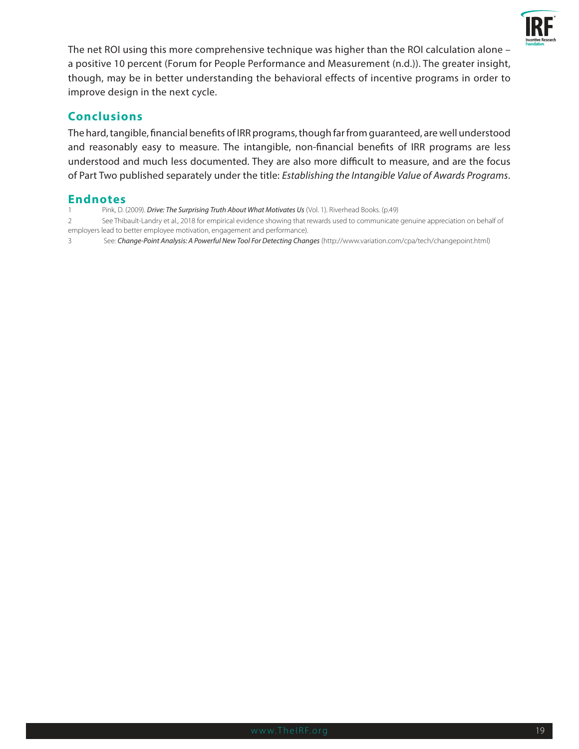

The net ROI using this more comprehensive technique was higher than the ROI calculation alone – a positive 10 percent (Forum for People Performance and Measurement (n.d.)). The greater insight, though, may be in better understanding the behavioral effects of incentive programs in order to improve design in the next cycle.

#### **Conclusions**

The hard, tangible, financial benefits of IRR programs, though far from guaranteed, are well understood and reasonably easy to measure. The intangible, non-financial benefits of IRR programs are less understood and much less documented. They are also more difficult to measure, and are the focus of Part Two published separately under the title: *Establishing the Intangible Value of Awards Programs*.

#### **Endnotes**

- 1 Pink, D. (2009). *Drive: The Surprising Truth About What Motivates Us* (Vol. 1). Riverhead Books. (p.49)
- 2 See Thibault-Landry et al., 2018 for empirical evidence showing that rewards used to communicate genuine appreciation on behalf of employers lead to better employee motivation, engagement and performance).

3 See: *Change-Point Analysis: A Powerful New Tool For Detecting Changes* (http://www.variation.com/cpa/tech/changepoint.html)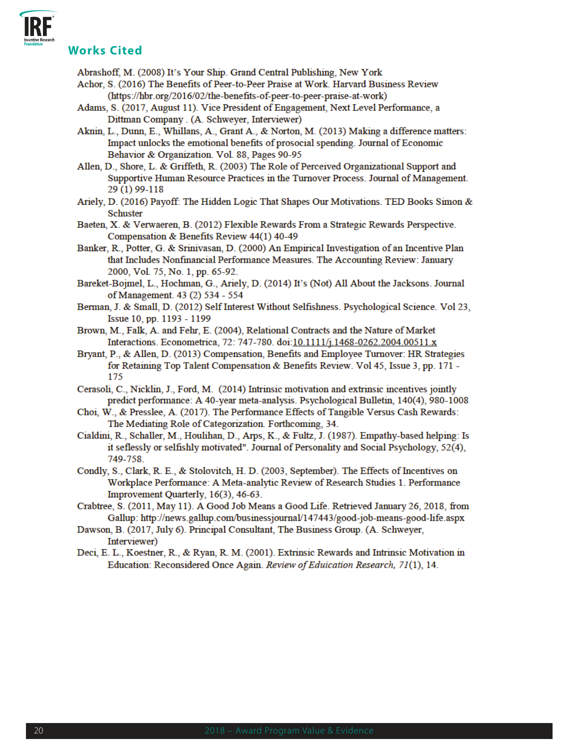**Works Cited**

Abrashoff, M. (2008) It's Your Ship. Grand Central Publishing, New York

- Achor, S. (2016) The Benefits of Peer-to-Peer Praise at Work. Harvard Business Review (https://hbr.org/2016/02/the-benefits-of-peer-to-peer-praise-at-work)
- Adams, S. (2017, August 11). Vice President of Engagement, Next Level Performance, a Dittman Company . (A. Schweyer, Interviewer)
- Aknin, L., Dunn, E., Whillans, A., Grant A., & Norton, M. (2013) Making a difference matters: Impact unlocks the emotional benefits of prosocial spending. Journal of Economic Behavior & Organization. Vol. 88, Pages 90-95
- Allen, D., Shore, L. & Griffeth, R. (2003) The Role of Perceived Organizational Support and Supportive Human Resource Practices in the Turnover Process. Journal of Management. 29 (1) 99-118
- Ariely, D. (2016) Payoff: The Hidden Logic That Shapes Our Motivations. TED Books Simon & **Schuster**
- Baeten, X. & Verwaeren, B. (2012) Flexible Rewards From a Strategic Rewards Perspective. Compensation & Benefits Review 44(1) 40-49
- Banker, R., Potter, G. & Srinivasan, D. (2000) An Empirical Investigation of an Incentive Plan that Includes Nonfinancial Performance Measures. The Accounting Review: January 2000, Vol. 75, No. 1, pp. 65-92.
- Bareket-Bojmel, L., Hochman, G., Ariely, D. (2014) It's (Not) All About the Jacksons. Journal of Management. 43 (2) 534 - 554
- Berman, J. & Small, D. (2012) Self Interest Without Selfishness. Psychological Science. Vol 23, Issue 10, pp. 1193 - 1199
- Brown, M., Falk, A. and Fehr, E. (2004), Relational Contracts and the Nature of Market Interactions. Econometrica, 72: 747-780. doi:10.1111/j.1468-0262.2004.00511.x
- Bryant, P., & Allen, D. (2013) Compensation, Benefits and Employee Turnover: HR Strategies for Retaining Top Talent Compensation & Benefits Review. Vol 45, Issue 3, pp. 171 -175
- Cerasoli, C., Nicklin, J., Ford, M. (2014) Intrinsic motivation and extrinsic incentives jointly predict performance: A 40-year meta-analysis. Psychological Bulletin, 140(4), 980-1008
- Choi, W., & Presslee, A. (2017). The Performance Effects of Tangible Versus Cash Rewards: The Mediating Role of Categorization. Forthcoming, 34.
- Cialdini, R., Schaller, M., Houlihan, D., Arps, K., & Fultz, J. (1987). Empathy-based helping: Is it seflessly or selfishly motivated". Journal of Personality and Social Psychology, 52(4), 749-758.
- Condly, S., Clark, R. E., & Stolovitch, H. D. (2003, September). The Effects of Incentives on Workplace Performance: A Meta-analytic Review of Research Studies 1. Performance Improvement Quarterly, 16(3), 46-63.
- Crabtree, S. (2011, May 11). A Good Job Means a Good Life. Retrieved January 26, 2018, from Gallup: http://news.gallup.com/businessjournal/147443/good-job-means-good-life.aspx
- Dawson, B. (2017, July 6). Principal Consultant, The Business Group. (A. Schweyer, Interviewer)
- Deci, E. L., Koestner, R., & Ryan, R. M. (2001). Extrinsic Rewards and Intrinsic Motivation in Education: Reconsidered Once Again. Review of Eduication Research, 71(1), 14.